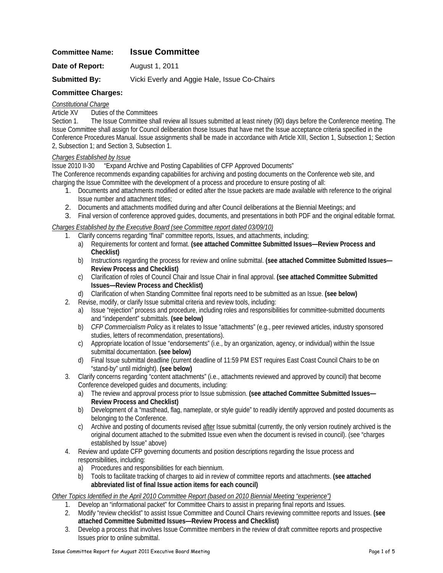## **Committee Name: Issue Committee**

**Date of Report:** August 1, 2011

**Submitted By:** Vicki Everly and Aggie Hale, Issue Co-Chairs

### **Committee Charges:**

#### *Constitutional Charge*

Article XV Duties of the Committees

Section 1. The Issue Committee shall review all Issues submitted at least ninety (90) days before the Conference meeting. The Issue Committee shall assign for Council deliberation those Issues that have met the Issue acceptance criteria specified in the Conference Procedures Manual. Issue assignments shall be made in accordance with Article XIII, Section 1, Subsection 1; Section 2, Subsection 1; and Section 3, Subsection 1.

#### *Charges Established by Issue*

Issue 2010 II-30 "Expand Archive and Posting Capabilities of CFP Approved Documents"

The Conference recommends expanding capabilities for archiving and posting documents on the Conference web site, and charging the Issue Committee with the development of a process and procedure to ensure posting of all:

- 1. Documents and attachments modified or edited after the Issue packets are made available with reference to the original Issue number and attachment titles;
- 2. Documents and attachments modified during and after Council deliberations at the Biennial Meetings; and
- 3. Final version of conference approved guides, documents, and presentations in both PDF and the original editable format.

#### *Charges Established by the Executive Board (see Committee report dated 03/09/10)*

- 1. Clarify concerns regarding "final" committee reports, Issues, and attachments, including;
	- a) Requirements for content and format. **(see attached Committee Submitted Issues—Review Process and Checklist)**
	- b) Instructions regarding the process for review and online submittal. **(see attached Committee Submitted Issues— Review Process and Checklist)**
	- c) Clarification of roles of Council Chair and Issue Chair in final approval. **(see attached Committee Submitted Issues—Review Process and Checklist)**
	- d) Clarification of when Standing Committee final reports need to be submitted as an Issue. **(see below)**
- 2. Revise, modify, or clarify Issue submittal criteria and review tools, including:
	- a) Issue "rejection" process and procedure, including roles and responsibilities for committee-submitted documents and "independent" submittals. **(see below)**
	- b) *CFP Commercialism Policy* as it relates to Issue "attachments" (e.g., peer reviewed articles, industry sponsored studies, letters of recommendation, presentations).
	- c) Appropriate location of Issue "endorsements" (i.e., by an organization, agency, or individual) within the Issue submittal documentation. **(see below)**
	- d) Final Issue submittal deadline (current deadline of 11:59 PM EST requires East Coast Council Chairs to be on "stand-by" until midnight). **(see below)**
- 3. Clarify concerns regarding "content attachments" (i.e., attachments reviewed and approved by council) that become Conference developed guides and documents, including:
	- a) The review and approval process prior to Issue submission. **(see attached Committee Submitted Issues— Review Process and Checklist)**
	- b) Development of a "masthead, flag, nameplate, or style guide" to readily identify approved and posted documents as belonging to the Conference.
	- c) Archive and posting of documents revised after Issue submittal (currently, the only version routinely archived is the original document attached to the submitted Issue even when the document is revised in council). (see "charges established by Issue" above)
- 4. Review and update CFP governing documents and position descriptions regarding the Issue process and responsibilities, including:
	- a) Procedures and responsibilities for each biennium.
	- b) Tools to facilitate tracking of charges to aid in review of committee reports and attachments. **(see attached abbreviated list of final Issue action items for each council)**

#### *Other Topics Identified in the April 2010 Committee Report (based on 2010 Biennial Meeting "experience")*

- 1. Develop an "informational packet" for Committee Chairs to assist in preparing final reports and Issues.
- 2. Modify "review checklist" to assist Issue Committee and Council Chairs reviewing committee reports and Issues. **(see attached Committee Submitted Issues—Review Process and Checklist)**
- 3. Develop a process that involves Issue Committee members in the review of draft committee reports and prospective Issues prior to online submittal.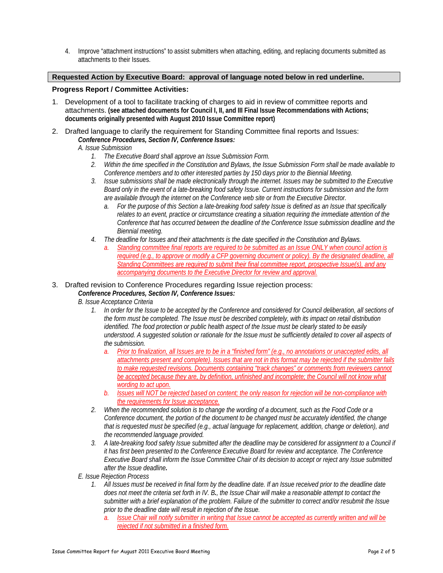4. Improve "attachment instructions" to assist submitters when attaching, editing, and replacing documents submitted as attachments to their Issues.

#### **Requested Action by Executive Board: approval of language noted below in red underline.**

#### **Progress Report / Committee Activities:**

- 1. Development of a tool to facilitate tracking of charges to aid in review of committee reports and attachments. **(see attached documents for Council I, II, and III Final Issue Recommendations with Actions; documents originally presented with August 2010 Issue Committee report)**
- 2. Drafted language to clarify the requirement for Standing Committee final reports and Issues: *Conference Procedures, Section IV, Conference Issues:* 
	- *A. Issue Submission* 
		- *1. The Executive Board shall approve an Issue Submission Form.*
		- *2. Within the time specified in the Constitution and Bylaws, the Issue Submission Form shall be made available to Conference members and to other interested parties by 150 days prior to the Biennial Meeting.*
		- *3. Issue submissions shall be made electronically through the internet. Issues may be submitted to the Executive Board only in the event of a late-breaking food safety Issue. Current instructions for submission and the form are available through the internet on the Conference web site or from the Executive Director.* 
			- *a. For the purpose of this Section a late-breaking food safety Issue is defined as an Issue that specifically relates to an event, practice or circumstance creating a situation requiring the immediate attention of the Conference that has occurred between the deadline of the Conference Issue submission deadline and the Biennial meeting.*
		- *4. The deadline for Issues and their attachments is the date specified in the Constitution and Bylaws.* 
			- *a. Standing committee final reports are required to be submitted as an Issue ONLY when council action is required (e.g., to approve or modify a CFP governing document or policy). By the designated deadline, all Standing Committees are required to submit their final committee report, prospective Issue(s), and any accompanying documents to the Executive Director for review and approval.*

## 3. Drafted revision to Conference Procedures regarding Issue rejection process:

*Conference Procedures, Section IV, Conference Issues:* 

- *B. Issue Acceptance Criteria* 
	- *1. In order for the Issue to be accepted by the Conference and considered for Council deliberation, all sections of the form must be completed. The Issue must be described completely, with its impact on retail distribution identified. The food protection or public health aspect of the Issue must be clearly stated to be easily understood. A suggested solution or rationale for the Issue must be sufficiently detailed to cover all aspects of the submission.* 
		- *a. Prior to finalization, all Issues are to be in a "finished form" (e.g., no annotations or unaccepted edits, all attachments present and complete). Issues that are not in this format may be rejected if the submitter fails to make requested revisions. Documents containing "track changes" or comments from reviewers cannot be accepted because they are, by definition, unfinished and incomplete; the Council will not know what wording to act upon.*
		- *b. Issues will NOT be rejected based on content; the only reason for rejection will be non-compliance with the requirements for Issue acceptance.*
	- *2. When the recommended solution is to change the wording of a document, such as the Food Code or a Conference document, the portion of the document to be changed must be accurately identified, the change that is requested must be specified (e.g., actual language for replacement, addition, change or deletion), and the recommended language provided.*
	- *3. A late-breaking food safety Issue submitted after the deadline may be considered for assignment to a Council if it has first been presented to the Conference Executive Board for review and acceptance. The Conference Executive Board shall inform the Issue Committee Chair of its decision to accept or reject any Issue submitted after the Issue deadline.*
- *E. Issue Rejection Process* 
	- *1. All Issues must be received in final form by the deadline date. If an Issue received prior to the deadline date does not meet the criteria set forth in IV. B., the Issue Chair will make a reasonable attempt to contact the submitter with a brief explanation of the problem. Failure of the submitter to correct and/or resubmit the Issue prior to the deadline date will result in rejection of the Issue.* 
		- *a. Issue Chair will notify submitter in writing that Issue cannot be accepted as currently written and will be rejected if not submitted in a finished form.*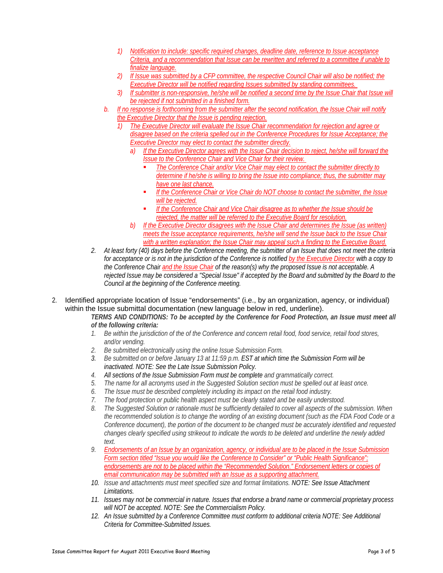- *1) Notification to include: specific required changes, deadline date, reference to Issue acceptance Criteria, and a recommendation that Issue can be rewritten and referred to a committee if unable to finalize language.*
- *2) If Issue was submitted by a CFP committee, the respective Council Chair will also be notified; the Executive Director will be notified regarding Issues submitted by standing committees.*
- *3) If submitter is non-responsive, he/she will be notified a second time by the Issue Chair that Issue will be rejected if not submitted in a finished form.*
- *b. If no response is forthcoming from the submitter after the second notification, the Issue Chair will notify the Executive Director that the Issue is pending rejection.*
	- *1) The Executive Director will evaluate the Issue Chair recommendation for rejection and agree or disagree based on the criteria spelled out in the Conference Procedures for Issue Acceptance; the Executive Director may elect to contact the submitter directly.* 
		- *a) If the Executive Director agrees with the Issue Chair decision to reject, he/she will forward the Issue to the Conference Chair and Vice Chair for their review.* 
			- *The Conference Chair and/or Vice Chair may elect to contact the submitter directly to determine if he/she is willing to bring the Issue into compliance; thus, the submitter may have one last chance.*
			- *If the Conference Chair or Vice Chair do NOT choose to contact the submitter, the Issue will be rejected.*
			- *If the Conference Chair and Vice Chair disagree as to whether the Issue should be rejected, the matter will be referred to the Executive Board for resolution.*
		- *b) If the Executive Director disagrees with the Issue Chair and determines the Issue (as written) meets the Issue acceptance requirements, he/she will send the Issue back to the Issue Chair with a written explanation; the Issue Chair may appeal such a finding to the Executive Board.*
- *2. At least forty (40) days before the Conference meeting, the submitter of an Issue that does not meet the criteria for acceptance or is not in the jurisdiction of the Conference is notified by the Executive Director with a copy to the Conference Chair and the Issue Chair of the reason(s) why the proposed Issue is not acceptable. A rejected Issue may be considered a "Special Issue" if accepted by the Board and submitted by the Board to the Council at the beginning of the Conference meeting.*
- 2. Identified appropriate location of Issue "endorsements" (i.e., by an organization, agency, or individual) within the Issue submittal documentation (new language below in red, underline).
	- *TERMS AND CONDITIONS: To be accepted by the Conference for Food Protection, an Issue must meet all of the following criteria:*
	- *1. Be within the jurisdiction of the of the Conference and concern retail food, food service, retail food stores, and/or vending.*
	- *2. Be submitted electronically using the online Issue Submission Form.*
	- *3. Be submitted on or before January 13 at 11:59 p.m. EST at which time the Submission Form will be inactivated. NOTE: See the [Late Issue Submission Policy](http://www.foodprotect.org/sitefile/File/Policy_CFP_Late_Issue_Submission.pdf).*
	- *4. All sections of the Issue Submission Form must be complete and grammatically correct.*
	- *5. The name for all acronyms used in the Suggested Solution section must be spelled out at least once.*
	- *6. The Issue must be described completely including its impact on the retail food industry.*
	- *7. The food protection or public health aspect must be clearly stated and be easily understood.*
	- *8. The Suggested Solution or rationale must be sufficiently detailed to cover all aspects of the submission. When the recommended solution is to change the wording of an existing document (such as the FDA Food Code or a Conference document), the portion of the document to be changed must be accurately identified and requested changes clearly specified using strikeout to indicate the words to be deleted and underline the newly added text.*
	- *9. Endorsements of an Issue by an organization, agency, or individual are to be placed in the Issue Submission Form section titled "Issue you would like the Conference to Consider" or "Public Health Significance"; endorsements are not to be placed within the "Recommended Solution." Endorsement letters or copies of email communication may be submitted with an Issue as a supporting attachment.*
	- *10. Issue and attachments must meet specified size and format limitations. NOTE: See [Issue Attachment](http://www.foodprotect.org/sitefile/File/IssueAttachmentLimitations.pdf)  [Limitations](http://www.foodprotect.org/sitefile/File/IssueAttachmentLimitations.pdf).*
	- *11. Issues may not be commercial in nature. Issues that endorse a brand name or commercial proprietary process will NOT be accepted. NOTE: See the [Commercialism Policy.](http://www.foodprotect.org/sitefile/File/Policy_CFP_Commercialism.pdf)*
	- *12. An Issue submitted by a Conference Committee must conform to additional criteria NOTE: See [Additional](http://foodprotect.org/sitefile/File/CriteriaCommittee-Submitted_IssuesFinal.pdf)  [Criteria for Committee-Submitted Issues.](http://foodprotect.org/sitefile/File/CriteriaCommittee-Submitted_IssuesFinal.pdf)*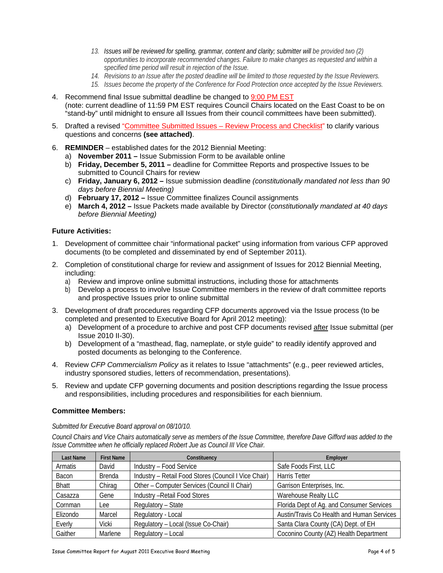- *13. Issues will be reviewed for spelling, grammar, content and clarity; submitter will be provided two (2) opportunities to incorporate recommended changes. Failure to make changes as requested and within a specified time period will result in rejection of the Issue.*
- *14. Revisions to an Issue after the posted deadline will be limited to those requested by the Issue Reviewers.*
- *15. Issues become the property of the Conference for Food Protection once accepted by the Issue Reviewers.*
- 4. Recommend final Issue submittal deadline be changed to 9:00 PM EST (note: current deadline of 11:59 PM EST requires Council Chairs located on the East Coast to be on "stand-by" until midnight to ensure all Issues from their council committees have been submitted).
- 5. Drafted a revised "Committee Submitted Issues Review Process and Checklist" to clarify various questions and concerns **(see attached)**.
- 6. **REMINDER** established dates for the 2012 Biennial Meeting:
	- a) **November 2011** Issue Submission Form to be available online
	- b) **Friday, December 5, 2011** deadline for Committee Reports and prospective Issues to be submitted to Council Chairs for review
	- c) **Friday, January 6, 2012** Issue submission deadline *(constitutionally mandated not less than 90 days before Biennial Meeting)*
	- d) **February 17, 2012** Issue Committee finalizes Council assignments
	- e) **March 4, 2012** Issue Packets made available by Director (*constitutionally mandated at 40 days before Biennial Meeting)*

#### **Future Activities:**

- 1. Development of committee chair "informational packet" using information from various CFP approved documents (to be completed and disseminated by end of September 2011).
- 2. Completion of constitutional charge for review and assignment of Issues for 2012 Biennial Meeting, including:
	- a) Review and improve online submittal instructions, including those for attachments
	- b) Develop a process to involve Issue Committee members in the review of draft committee reports and prospective Issues prior to online submittal
- 3. Development of draft procedures regarding CFP documents approved via the Issue process (to be completed and presented to Executive Board for April 2012 meeting):
	- a) Development of a procedure to archive and post CFP documents revised after Issue submittal (per Issue 2010 II-30).
	- b) Development of a "masthead, flag, nameplate, or style guide" to readily identify approved and posted documents as belonging to the Conference.
- 4. Review *CFP Commercialism Policy* as it relates to Issue "attachments" (e.g., peer reviewed articles, industry sponsored studies, letters of recommendation, presentations).
- 5. Review and update CFP governing documents and position descriptions regarding the Issue process and responsibilities, including procedures and responsibilities for each biennium.

#### **Committee Members:**

#### *Submitted for Executive Board approval on 08/10/10.*

*Council Chairs and Vice Chairs automatically serve as members of the Issue Committee, therefore Dave Gifford was added to the Issue Committee when he officially replaced Robert Jue as Council III Vice Chair.* 

| Last Name    | <b>First Name</b> | Constituency                                         | Employer                                   |
|--------------|-------------------|------------------------------------------------------|--------------------------------------------|
| Armatis      | David             | Industry - Food Service                              | Safe Foods First, LLC                      |
| Bacon        | <b>Brenda</b>     | Industry - Retail Food Stores (Council I Vice Chair) | <b>Harris Tetter</b>                       |
| <b>Bhatt</b> | Chirag            | Other - Computer Services (Council II Chair)         | Garrison Enterprises, Inc.                 |
| Casazza      | Gene              | <b>Industry - Retail Food Stores</b>                 | Warehouse Realty LLC                       |
| Cornman      | Lee               | Regulatory - State                                   | Florida Dept of Ag. and Consumer Services  |
| Elizondo     | Marcel            | Regulatory - Local                                   | Austin/Travis Co Health and Human Services |
| Everly       | Vicki             | Regulatory - Local (Issue Co-Chair)                  | Santa Clara County (CA) Dept. of EH        |
| Gaither      | Marlene           | Regulatory - Local                                   | Coconino County (AZ) Health Department     |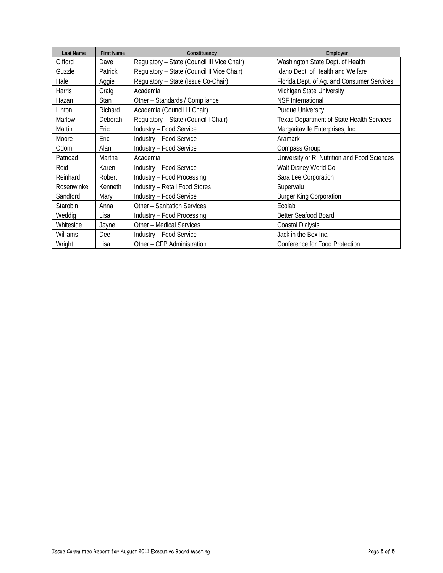| <b>Last Name</b> | <b>First Name</b> | Constituency                                | Employer                                         |
|------------------|-------------------|---------------------------------------------|--------------------------------------------------|
| Gifford          | Dave              | Regulatory - State (Council III Vice Chair) | Washington State Dept. of Health                 |
| Guzzle           | Patrick           | Regulatory - State (Council II Vice Chair)  | Idaho Dept. of Health and Welfare                |
| Hale             | Aggie             | Regulatory - State (Issue Co-Chair)         | Florida Dept. of Ag. and Consumer Services       |
| <b>Harris</b>    | Craig             | Academia                                    | Michigan State University                        |
| Hazan            | <b>Stan</b>       | Other - Standards / Compliance              | <b>NSF</b> International                         |
| Linton           | Richard           | Academia (Council III Chair)                | <b>Purdue University</b>                         |
| Marlow           | Deborah           | Regulatory - State (Council I Chair)        | <b>Texas Department of State Health Services</b> |
| <b>Martin</b>    | Eric              | Industry - Food Service                     | Margaritaville Enterprises, Inc.                 |
| Moore            | Eric              | Industry - Food Service                     | Aramark                                          |
| Odom             | Alan              | Industry - Food Service                     | Compass Group                                    |
| Patnoad          | Martha            | Academia                                    | University or RI Nutrition and Food Sciences     |
| Reid             | Karen             | Industry - Food Service                     | Walt Disney World Co.                            |
| Reinhard         | Robert            | Industry - Food Processing                  | Sara Lee Corporation                             |
| Rosenwinkel      | Kenneth           | Industry - Retail Food Stores               | Supervalu                                        |
| Sandford         | Mary              | Industry - Food Service                     | <b>Burger King Corporation</b>                   |
| Starobin         | Anna              | Other - Sanitation Services                 | Ecolab                                           |
| Weddig           | Lisa              | Industry - Food Processing                  | <b>Better Seafood Board</b>                      |
| Whiteside        | Jayne             | Other - Medical Services                    | Coastal Dialysis                                 |
| Williams         | Dee               | Industry - Food Service                     | Jack in the Box Inc.                             |
| Wright           | Lisa              | Other - CFP Administration                  | Conference for Food Protection                   |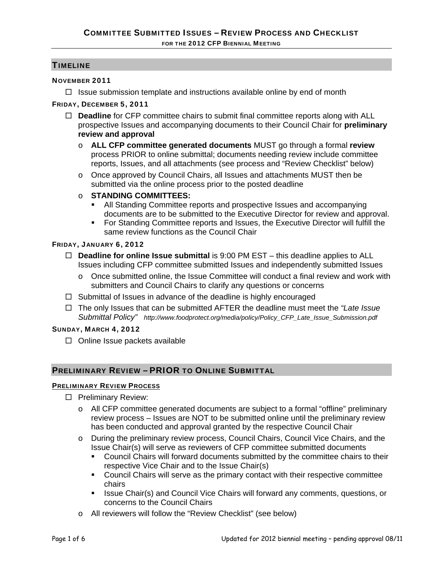## TIMELINE

## NOVEMBER 2011

 $\Box$  Issue submission template and instructions available online by end of month

## FRIDAY, DECEMBER 5, 2011

- □ **Deadline** for CFP committee chairs to submit final committee reports along with ALL prospective Issues and accompanying documents to their Council Chair for **preliminary review and approval**
	- o **ALL CFP committee generated documents** MUST go through a formal **review** process PRIOR to online submittal; documents needing review include committee reports, Issues, and all attachments (see process and "Review Checklist" below)
	- o Once approved by Council Chairs, all Issues and attachments MUST then be submitted via the online process prior to the posted deadline
	- o **STANDING COMMITTEES:** 
		- All Standing Committee reports and prospective Issues and accompanying documents are to be submitted to the Executive Director for review and approval.
		- For Standing Committee reports and Issues, the Executive Director will fulfill the same review functions as the Council Chair

## FRIDAY, JANUARY 6, 2012

- **Deadline for online Issue submittal** is 9:00 PM EST this deadline applies to ALL Issues including CFP committee submitted Issues and independently submitted Issues
	- $\circ$  Once submitted online, the Issue Committee will conduct a final review and work with submitters and Council Chairs to clarify any questions or concerns
- $\Box$  Submittal of Issues in advance of the deadline is highly encouraged
- The only Issues that can be submitted AFTER the deadline must meet the *"Late Issue Submittal Policy" http://www.foodprotect.org/media/policy/Policy\_CFP\_Late\_Issue\_Submission.pdf*

## SUNDAY, MARCH 4, 2012

 $\Box$  Online Issue packets available

## PRELIMINARY REVIEW – PRIOR TO ONLINE SUBMITTAL

## PRELIMINARY REVIEW PROCESS

- □ Preliminary Review:
	- o All CFP committee generated documents are subject to a formal "offline" preliminary review process – Issues are NOT to be submitted online until the preliminary review has been conducted and approval granted by the respective Council Chair
	- o During the preliminary review process, Council Chairs, Council Vice Chairs, and the Issue Chair(s) will serve as reviewers of CFP committee submitted documents
		- Council Chairs will forward documents submitted by the committee chairs to their respective Vice Chair and to the Issue Chair(s)
		- Council Chairs will serve as the primary contact with their respective committee chairs
		- **ISSUE Chair(s) and Council Vice Chairs will forward any comments, questions, or** concerns to the Council Chairs
	- o All reviewers will follow the "Review Checklist" (see below)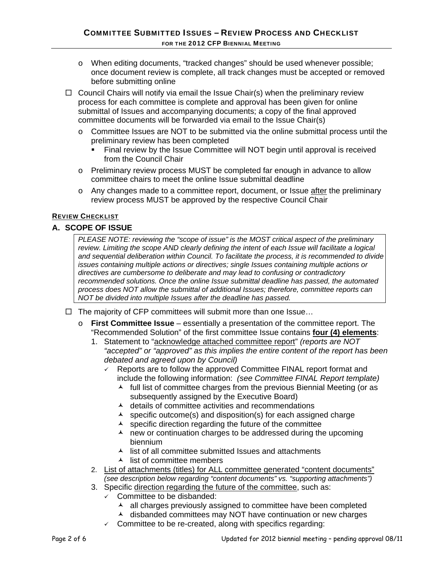- o When editing documents, "tracked changes" should be used whenever possible; once document review is complete, all track changes must be accepted or removed before submitting online
- $\Box$  Council Chairs will notify via email the Issue Chair(s) when the preliminary review process for each committee is complete and approval has been given for online submittal of Issues and accompanying documents; a copy of the final approved committee documents will be forwarded via email to the Issue Chair(s)
	- o Committee Issues are NOT to be submitted via the online submittal process until the preliminary review has been completed
		- Final review by the Issue Committee will NOT begin until approval is received from the Council Chair
	- o Preliminary review process MUST be completed far enough in advance to allow committee chairs to meet the online Issue submittal deadline
	- o Any changes made to a committee report, document, or Issue after the preliminary review process MUST be approved by the respective Council Chair

## REVIEW CHECKLIST

## **A. SCOPE OF ISSUE**

*PLEASE NOTE: reviewing the "scope of issue" is the MOST critical aspect of the preliminary review. Limiting the scope AND clearly defining the intent of each Issue will facilitate a logical and sequential deliberation within Council. To facilitate the process, it is recommended to divide issues containing multiple actions or directives; single Issues containing multiple actions or directives are cumbersome to deliberate and may lead to confusing or contradictory recommended solutions. Once the online Issue submittal deadline has passed, the automated process does NOT allow the submittal of additional Issues; therefore, committee reports can NOT be divided into multiple Issues after the deadline has passed.*

- $\Box$  The majority of CFP committees will submit more than one Issue...
	- o **First Committee Issue** essentially a presentation of the committee report. The "Recommended Solution" of the first committee Issue contains **four (4) elements**:
		- 1. Statement to "acknowledge attached committee report" *(reports are NOT "accepted" or "approved" as this implies the entire content of the report has been debated and agreed upon by Council)*
			- $\sqrt{ }$  Reports are to follow the approved Committee FINAL report format and include the following information: *(see Committee FINAL Report template)*
				- $\lambda$  full list of committee charges from the previous Biennial Meeting (or as subsequently assigned by the Executive Board)
				- $\lambda$  details of committee activities and recommendations
				- $\lambda$  specific outcome(s) and disposition(s) for each assigned charge
				- $\lambda$  specific direction regarding the future of the committee
				- $\lambda$  new or continuation charges to be addressed during the upcoming biennium
				- $\lambda$  list of all committee submitted Issues and attachments
				- $\lambda$  list of committee members
		- 2. List of attachments (titles) for ALL committee generated "content documents" *(see description below regarding "content documents" vs. "supporting attachments")*
		- 3. Specific direction regarding the future of the committee, such as:
			- $\checkmark$  Committee to be disbanded:
				- $\lambda$  all charges previously assigned to committee have been completed
				- $\overline{\phantom{a}}$  disbanded committees may NOT have continuation or new charges
			- $\checkmark$  Committee to be re-created, along with specifics regarding: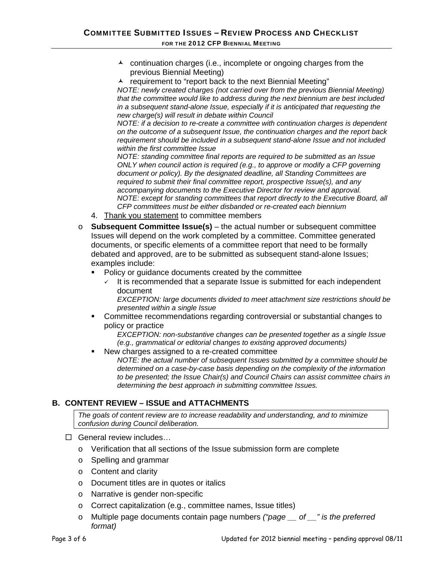- $\lambda$  continuation charges (i.e., incomplete or ongoing charges from the previous Biennial Meeting)
- $\lambda$  requirement to "report back to the next Biennial Meeting"

*NOTE: newly created charges (not carried over from the previous Biennial Meeting) that the committee would like to address during the next biennium are best included in a subsequent stand-alone Issue, especially if it is anticipated that requesting the new charge(s) will result in debate within Council* 

*NOTE: if a decision to re-create a committee with continuation charges is dependent on the outcome of a subsequent Issue, the continuation charges and the report back requirement should be included in a subsequent stand-alone Issue and not included within the first committee Issue* 

*NOTE: standing committee final reports are required to be submitted as an Issue ONLY when council action is required (e.g., to approve or modify a CFP governing document or policy). By the designated deadline, all Standing Committees are required to submit their final committee report, prospective Issue(s), and any accompanying documents to the Executive Director for review and approval. NOTE: except for standing committees that report directly to the Executive Board, all CFP committees must be either disbanded or re-created each biennium* 

- 4. Thank you statement to committee members
- o **Subsequent Committee Issue(s)** the actual number or subsequent committee Issues will depend on the work completed by a committee. Committee generated documents, or specific elements of a committee report that need to be formally debated and approved, are to be submitted as subsequent stand-alone Issues; examples include:
	- Policy or guidance documents created by the committee
		- It is recommended that a separate Issue is submitted for each independent document

*EXCEPTION: large documents divided to meet attachment size restrictions should be presented within a single Issue* 

 Committee recommendations regarding controversial or substantial changes to policy or practice

*EXCEPTION: non-substantive changes can be presented together as a single Issue (e.g., grammatical or editorial changes to existing approved documents)* 

 New charges assigned to a re-created committee *NOTE: the actual number of subsequent Issues submitted by a committee should be determined on a case-by-case basis depending on the complexity of the information to be presented; the Issue Chair(s) and Council Chairs can assist committee chairs in determining the best approach in submitting committee Issues.* 

## **B. CONTENT REVIEW – ISSUE and ATTACHMENTS**

*The goals of content review are to increase readability and understanding, and to minimize confusion during Council deliberation.* 

- □ General review includes...
	- o Verification that all sections of the Issue submission form are complete
	- o Spelling and grammar
	- o Content and clarity
	- o Document titles are in quotes or italics
	- o Narrative is gender non-specific
	- o Correct capitalization (e.g., committee names, Issue titles)
	- o Multiple page documents contain page numbers *("page \_\_ of \_\_" is the preferred format)*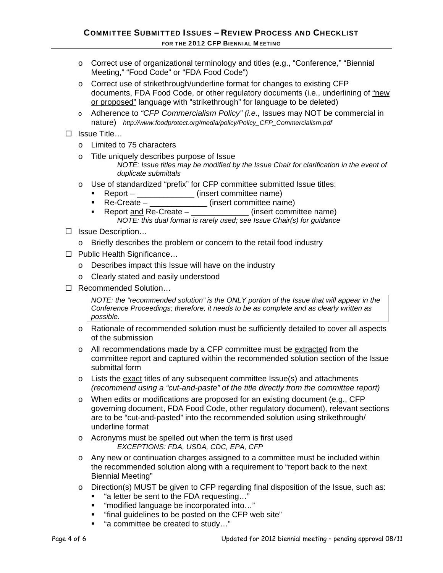- o Correct use of organizational terminology and titles (e.g., "Conference," "Biennial Meeting," "Food Code" or "FDA Food Code")
- o Correct use of strikethrough/underline format for changes to existing CFP documents, FDA Food Code, or other regulatory documents (i.e., underlining of "new or proposed" language with "strikethrough" for language to be deleted)
- o Adherence to *"CFP Commercialism Policy" (i.e.,* Issues may NOT be commercial in nature) *http://www.foodprotect.org/media/policy/Policy\_CFP\_Commercialism.pdf*
- $\square$  Issue Title...
	- o Limited to 75 characters
	- o Title uniquely describes purpose of Issue
		- *NOTE: Issue titles may be modified by the Issue Chair for clarification in the event of duplicate submittals*
	- o Use of standardized "prefix" for CFP committee submitted Issue titles:
		- Report \_\_\_\_\_\_\_\_\_\_\_\_\_ (insert committee name)
		- Re-Create \_\_\_\_\_\_\_\_\_\_\_\_\_ (insert committee name)
		- Report <u>and</u> Re-Create \_\_\_\_\_\_\_\_\_\_\_\_\_\_(insert committee name) *NOTE: this dual format is rarely used; see Issue Chair(s) for guidance*
- □ Issue Description...
	- o Briefly describes the problem or concern to the retail food industry
- □ Public Health Significance...
	- o Describes impact this Issue will have on the industry
	- o Clearly stated and easily understood
- □ Recommended Solution...

*NOTE: the "recommended solution" is the ONLY portion of the Issue that will appear in the Conference Proceedings; therefore, it needs to be as complete and as clearly written as possible.*

- o Rationale of recommended solution must be sufficiently detailed to cover all aspects of the submission
- o All recommendations made by a CFP committee must be extracted from the committee report and captured within the recommended solution section of the Issue submittal form
- $\circ$  Lists the exact titles of any subsequent committee Issue(s) and attachments *(recommend using a "cut-and-paste" of the title directly from the committee report)*
- o When edits or modifications are proposed for an existing document (e.g., CFP governing document, FDA Food Code, other regulatory document), relevant sections are to be "cut-and-pasted" into the recommended solution using strikethrough/ underline format
- o Acronyms must be spelled out when the term is first used *EXCEPTIONS: FDA, USDA, CDC, EPA, CFP*
- o Any new or continuation charges assigned to a committee must be included within the recommended solution along with a requirement to "report back to the next Biennial Meeting"
- o Direction(s) MUST be given to CFP regarding final disposition of the Issue, such as:
	- "a letter be sent to the FDA requesting..."
	- "modified language be incorporated into..."
	- "final guidelines to be posted on the CFP web site"
	- "a committee be created to study..."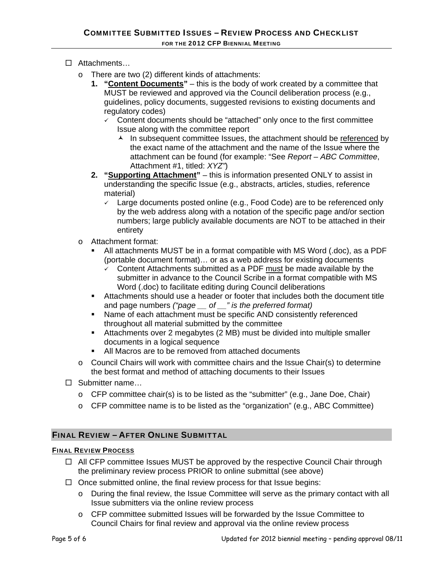- □ Attachments...
	- o There are two (2) different kinds of attachments:
		- **1. "Content Documents"** this is the body of work created by a committee that MUST be reviewed and approved via the Council deliberation process (e.g., guidelines, policy documents, suggested revisions to existing documents and regulatory codes)
			- $\checkmark$  Content documents should be "attached" only once to the first committee Issue along with the committee report
				- $\lambda$  In subsequent committee Issues, the attachment should be referenced by the exact name of the attachment and the name of the Issue where the attachment can be found (for example: "See *Report – ABC Committee*, Attachment #1, titled: *XYZ"*)
		- **2. "Supporting Attachment"** this is information presented ONLY to assist in understanding the specific Issue (e.g., abstracts, articles, studies, reference material)
			- $\sqrt{2}$  Large documents posted online (e.g., Food Code) are to be referenced only by the web address along with a notation of the specific page and/or section numbers; large publicly available documents are NOT to be attached in their entirety
	- o Attachment format:
		- All attachments MUST be in a format compatible with MS Word (.doc), as a PDF (portable document format)… or as a web address for existing documents
			- Content Attachments submitted as a PDF must be made available by the submitter in advance to the Council Scribe in a format compatible with MS Word (.doc) to facilitate editing during Council deliberations
		- Attachments should use a header or footer that includes both the document title and page numbers *("page \_\_ of \_\_" is the preferred format)*
		- Name of each attachment must be specific AND consistently referenced throughout all material submitted by the committee
		- Attachments over 2 megabytes (2 MB) must be divided into multiple smaller documents in a logical sequence
		- All Macros are to be removed from attached documents
	- $\circ$  Council Chairs will work with committee chairs and the Issue Chair(s) to determine the best format and method of attaching documents to their Issues
- □ Submitter name...
	- $\circ$  CFP committee chair(s) is to be listed as the "submitter" (e.g., Jane Doe, Chair)
	- o CFP committee name is to be listed as the "organization" (e.g., ABC Committee)

## FINAL REVIEW – AFTER ONLINE SUBMITTAL

## FINAL REVIEW PROCESS

- $\Box$  All CFP committee Issues MUST be approved by the respective Council Chair through the preliminary review process PRIOR to online submittal (see above)
- $\Box$  Once submitted online, the final review process for that Issue begins:
	- o During the final review, the Issue Committee will serve as the primary contact with all Issue submitters via the online review process
	- o CFP committee submitted Issues will be forwarded by the Issue Committee to Council Chairs for final review and approval via the online review process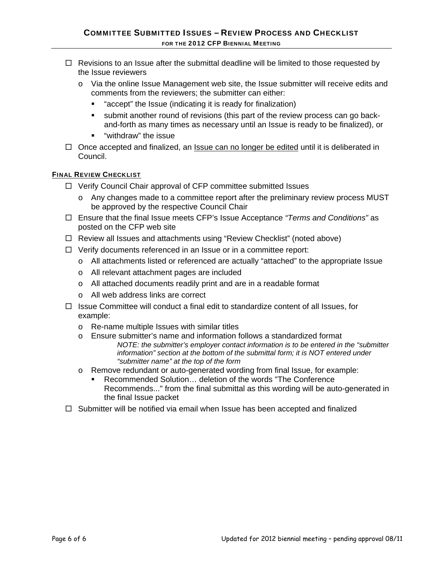- $\Box$  Revisions to an Issue after the submittal deadline will be limited to those requested by the Issue reviewers
	- o Via the online Issue Management web site, the Issue submitter will receive edits and comments from the reviewers; the submitter can either:
		- **E** "accept" the Issue (indicating it is ready for finalization)
		- submit another round of revisions (this part of the review process can go backand-forth as many times as necessary until an Issue is ready to be finalized), or
		- **"** "withdraw" the issue
- $\Box$  Once accepted and finalized, an Issue can no longer be edited until it is deliberated in Council.

## FINAL REVIEW CHECKLIST

- $\Box$  Verify Council Chair approval of CFP committee submitted Issues
	- o Any changes made to a committee report after the preliminary review process MUST be approved by the respective Council Chair
- Ensure that the final Issue meets CFP's Issue Acceptance *"Terms and Conditions"* as posted on the CFP web site
- □ Review all Issues and attachments using "Review Checklist" (noted above)
- $\Box$  Verify documents referenced in an Issue or in a committee report:
	- o All attachments listed or referenced are actually "attached" to the appropriate Issue
	- o All relevant attachment pages are included
	- o All attached documents readily print and are in a readable format
	- o All web address links are correct
- $\Box$  Issue Committee will conduct a final edit to standardize content of all Issues, for example:
	- o Re-name multiple Issues with similar titles
	- o Ensure submitter's name and information follows a standardized format *NOTE: the submitter's employer contact information is to be entered in the "submitter information" section at the bottom of the submittal form; it is NOT entered under "submitter name" at the top of the form*
	- o Remove redundant or auto-generated wording from final Issue, for example:
		- Recommended Solution… deletion of the words "The Conference Recommends..." from the final submittal as this wording will be auto-generated in the final Issue packet
- $\Box$  Submitter will be notified via email when Issue has been accepted and finalized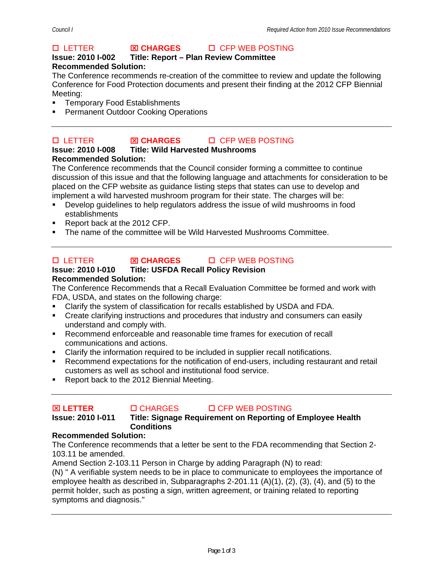## **Issue: 2010 I-002 Title: Report – Plan Review Committee Recommended Solution:**

The Conference recommends re-creation of the committee to review and update the following Conference for Food Protection documents and present their finding at the 2012 CFP Biennial Meeting:

- **Temporary Food Establishments**
- Permanent Outdoor Cooking Operations

#### LETTER ⌧ **CHARGES** CFP WEB POSTING **Issue: 2010 I-008 Title: Wild Harvested Mushrooms Recommended Solution:**

The Conference recommends that the Council consider forming a committee to continue discussion of this issue and that the following language and attachments for consideration to be placed on the CFP website as guidance listing steps that states can use to develop and implement a wild harvested mushroom program for their state. The charges will be:

- Develop guidelines to help regulators address the issue of wild mushrooms in food establishments
- Report back at the 2012 CFP.
- The name of the committee will be Wild Harvested Mushrooms Committee.

## LETTER ⌧ **CHARGES** CFP WEB POSTING

## **Issue: 2010 I-010 Title: USFDA Recall Policy Revision Recommended Solution:**

The Conference Recommends that a Recall Evaluation Committee be formed and work with FDA, USDA, and states on the following charge:

- Clarify the system of classification for recalls established by USDA and FDA.
- Create clarifying instructions and procedures that industry and consumers can easily understand and comply with.
- Recommend enforceable and reasonable time frames for execution of recall communications and actions.
- Clarify the information required to be included in supplier recall notifications.
- Recommend expectations for the notification of end-users, including restaurant and retail customers as well as school and institutional food service.
- Report back to the 2012 Biennial Meeting.

## ⌧ **LETTER** CHARGES CFP WEB POSTING

## **Issue: 2010 I-011 Title: Signage Requirement on Reporting of Employee Health Conditions**

## **Recommended Solution:**

The Conference recommends that a letter be sent to the FDA recommending that Section 2- 103.11 be amended.

Amend Section 2-103.11 Person in Charge by adding Paragraph (N) to read:

(N) " A verifiable system needs to be in place to communicate to employees the importance of employee health as described in, Subparagraphs 2-201.11 (A)(1), (2), (3), (4), and (5) to the permit holder, such as posting a sign, written agreement, or training related to reporting symptoms and diagnosis."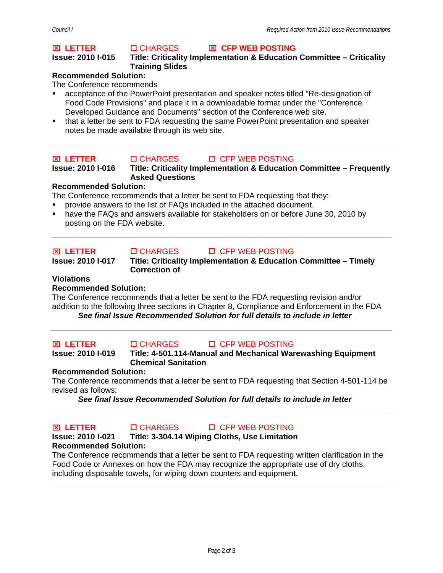### **Issue: 2010 I-015 Title: Criticality Implementation & Education Committee – Criticality Training Slides**

## **Recommended Solution:**

The Conference recommends

- acceptance of the PowerPoint presentation and speaker notes titled "Re-designation of Food Code Provisions" and place it in a downloadable format under the "Conference Developed Guidance and Documents" section of the Conference web site.
- that a letter be sent to FDA requesting the same PowerPoint presentation and speaker notes be made available through its web site.

## **<del><b>⊠ LETTER** CHARGES DI CFP WEB POSTING</del>

**Issue: 2010 I-016 Title: Criticality Implementation & Education Committee – Frequently Asked Questions** 

## **Recommended Solution:**

The Conference recommends that a letter be sent to FDA requesting that they:

- provide answers to the list of FAQs included in the attached document.
- have the FAQs and answers available for stakeholders on or before June 30, 2010 by posting on the FDA website.

## ⌧ **LETTER** CHARGES CFP WEB POSTING

## **Issue: 2010 I-017 Title: Criticality Implementation & Education Committee – Timely Correction of**

## **Violations**

## **Recommended Solution:**

The Conference recommends that a letter be sent to the FDA requesting revision and/or addition to the following three sections in Chapter 8, Compliance and Enforcement in the FDA *See final Issue Recommended Solution for full details to include in letter* 

#### ⌧ **LETTER** CHARGES CFP WEB POSTING **Title: 4-501.114-Manual and Mechanical Warewashing Equipment Chemical Sanitation**

## **Recommended Solution:**

The Conference recommends that a letter be sent to FDA requesting that Section 4-501-114 be revised as follows:

*See final Issue Recommended Solution for full details to include in letter* 

#### **EXAMPLE TREE ROOMS CHARGES CFP WEB POSTING Issue: 2010 I-021 Title: 3-304.14 Wiping Cloths, Use Limitation Recommended Solution:**

The Conference recommends that a letter be sent to FDA requesting written clarification in the Food Code or Annexes on how the FDA may recognize the appropriate use of dry cloths, including disposable towels, for wiping down counters and equipment.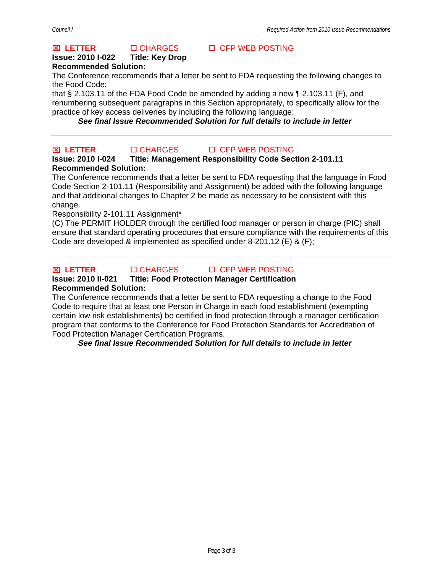### **Issue: 2010 I-022 Title: Key Drop Recommended Solution:**

The Conference recommends that a letter be sent to FDA requesting the following changes to the Food Code:

that § 2.103.11 of the FDA Food Code be amended by adding a new ¶ 2.103.11 (F), and renumbering subsequent paragraphs in this Section appropriately, to specifically allow for the practice of key access deliveries by including the following language:

*See final Issue Recommended Solution for full details to include in letter* 

## ⌧ **LETTER** CHARGES CFP WEB POSTING

## **Issue: 2010 I-024 Title: Management Responsibility Code Section 2-101.11 Recommended Solution:**

The Conference recommends that a letter be sent to FDA requesting that the language in Food Code Section 2-101.11 (Responsibility and Assignment) be added with the following language and that additional changes to Chapter 2 be made as necessary to be consistent with this change.

Responsibility 2-101.11 Assignment\*

(C) The PERMIT HOLDER through the certified food manager or person in charge (PIC) shall ensure that standard operating procedures that ensure compliance with the requirements of this Code are developed & implemented as specified under 8-201.12 (E) & (F);



⌧ **LETTER** CHARGES CFP WEB POSTING

## **Issue: 2010 II-021 Title: Food Protection Manager Certification**

## **Recommended Solution:**

The Conference recommends that a letter be sent to FDA requesting a change to the Food Code to require that at least one Person in Charge in each food establishment (exempting certain low risk establishments) be certified in food protection through a manager certification program that conforms to the Conference for Food Protection Standards for Accreditation of Food Protection Manager Certification Programs.

*See final Issue Recommended Solution for full details to include in letter*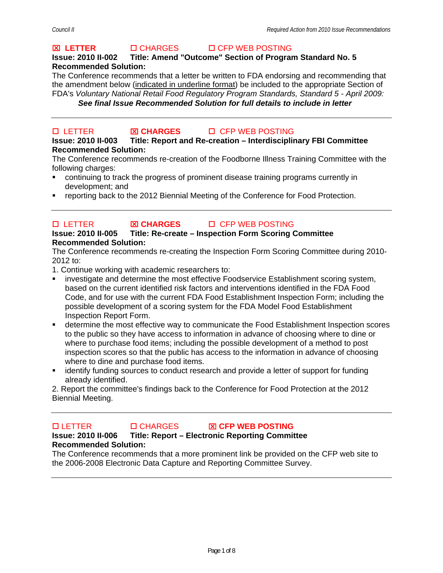## **Issue: 2010 II-002 Title: Amend "Outcome" Section of Program Standard No. 5 Recommended Solution:**

The Conference recommends that a letter be written to FDA endorsing and recommending that the amendment below (indicated in underline format) be included to the appropriate Section of FDA's *Voluntary National Retail Food Regulatory Program Standards, Standard 5 - April 2009: See final Issue Recommended Solution for full details to include in letter* 

# LETTER ⌧ **CHARGES** CFP WEB POSTING

## **Issue: 2010 II-003 Title: Report and Re-creation – Interdisciplinary FBI Committee Recommended Solution:**

The Conference recommends re-creation of the Foodborne Illness Training Committee with the following charges:

- continuing to track the progress of prominent disease training programs currently in development; and
- reporting back to the 2012 Biennial Meeting of the Conference for Food Protection.

#### LETTER ⌧ **CHARGES** CFP WEB POSTING **Issue: 2010 II-005 Title: Re-create – Inspection Form Scoring Committee Recommended Solution:**

The Conference recommends re-creating the Inspection Form Scoring Committee during 2010- 2012 to:

1. Continue working with academic researchers to:

- **EXEDENT** investigate and determine the most effective Foodservice Establishment scoring system, based on the current identified risk factors and interventions identified in the FDA Food Code, and for use with the current FDA Food Establishment Inspection Form; including the possible development of a scoring system for the FDA Model Food Establishment Inspection Report Form.
- determine the most effective way to communicate the Food Establishment Inspection scores to the public so they have access to information in advance of choosing where to dine or where to purchase food items; including the possible development of a method to post inspection scores so that the public has access to the information in advance of choosing where to dine and purchase food items.
- identify funding sources to conduct research and provide a letter of support for funding already identified.

2. Report the committee's findings back to the Conference for Food Protection at the 2012 Biennial Meeting.

## LETTER CHARGES ⌧ **CFP WEB POSTING Issue: 2010 II-006 Title: Report – Electronic Reporting Committee**

## **Recommended Solution:**

The Conference recommends that a more prominent link be provided on the CFP web site to the 2006-2008 Electronic Data Capture and Reporting Committee Survey.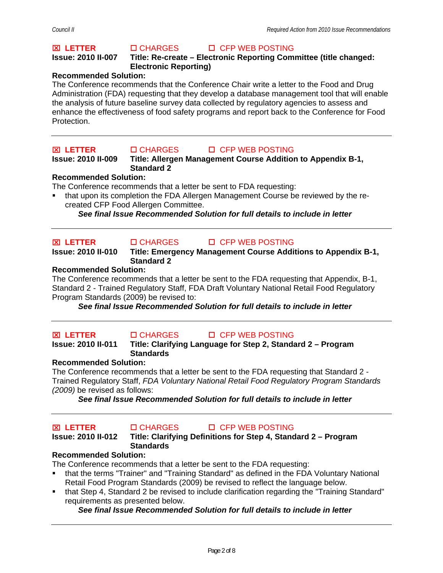## **<del><b>⊠ LETTER** CHARGES DI CFP WEB POSTING</del>

### **Issue: 2010 II-007 Title: Re-create – Electronic Reporting Committee (title changed: Electronic Reporting)**

## **Recommended Solution:**

The Conference recommends that the Conference Chair write a letter to the Food and Drug Administration (FDA) requesting that they develop a database management tool that will enable the analysis of future baseline survey data collected by regulatory agencies to assess and enhance the effectiveness of food safety programs and report back to the Conference for Food Protection.

## ⌧ **LETTER** CHARGES CFP WEB POSTING

**Issue: 2010 II-009 Title: Allergen Management Course Addition to Appendix B-1, Standard 2** 

## **Recommended Solution:**

The Conference recommends that a letter be sent to FDA requesting:

 that upon its completion the FDA Allergen Management Course be reviewed by the recreated CFP Food Allergen Committee.

*See final Issue Recommended Solution for full details to include in letter* 

## ⌧ **LETTER** CHARGES CFP WEB POSTING

**Issue: 2010 II-010 Title: Emergency Management Course Additions to Appendix B-1, Standard 2** 

## **Recommended Solution:**

The Conference recommends that a letter be sent to the FDA requesting that Appendix, B-1, Standard 2 - Trained Regulatory Staff, FDA Draft Voluntary National Retail Food Regulatory Program Standards (2009) be revised to:

*See final Issue Recommended Solution for full details to include in letter* 

## ⌧ **LETTER** CHARGES CFP WEB POSTING

## **Issue: 2010 II-011 Title: Clarifying Language for Step 2, Standard 2 – Program Standards**

## **Recommended Solution:**

The Conference recommends that a letter be sent to the FDA requesting that Standard 2 - Trained Regulatory Staff, *FDA Voluntary National Retail Food Regulatory Program Standards (2009)* be revised as follows:

*See final Issue Recommended Solution for full details to include in letter* 

#### ⌧ **LETTER** CHARGES CFP WEB POSTING **Issue: 2010 II-012 Title: Clarifying Definitions for Step 4, Standard 2 – Program**

## **Standards**

# **Recommended Solution:**

The Conference recommends that a letter be sent to the FDA requesting:

- that the terms "Trainer" and "Training Standard" as defined in the FDA Voluntary National Retail Food Program Standards (2009) be revised to reflect the language below.
- that Step 4, Standard 2 be revised to include clarification regarding the "Training Standard" requirements as presented below.

## *See final Issue Recommended Solution for full details to include in letter*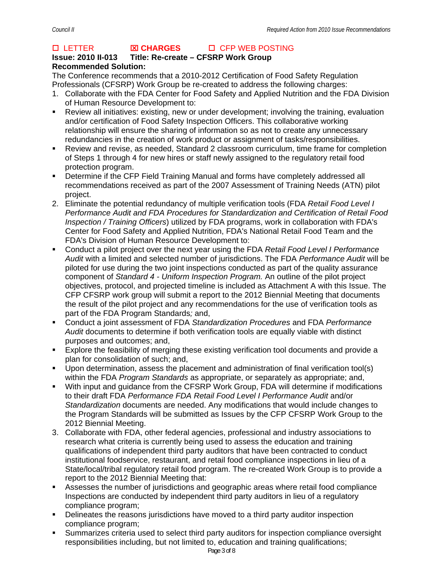## **Issue: 2010 II-013 Title: Re-create – CFSRP Work Group Recommended Solution:**

The Conference recommends that a 2010-2012 Certification of Food Safety Regulation Professionals (CFSRP) Work Group be re-created to address the following charges:

- 1. Collaborate with the FDA Center for Food Safety and Applied Nutrition and the FDA Division of Human Resource Development to:
- Review all initiatives: existing, new or under development; involving the training, evaluation and/or certification of Food Safety Inspection Officers. This collaborative working relationship will ensure the sharing of information so as not to create any unnecessary redundancies in the creation of work product or assignment of tasks/responsibilities.
- Review and revise, as needed, Standard 2 classroom curriculum, time frame for completion of Steps 1 through 4 for new hires or staff newly assigned to the regulatory retail food protection program.
- Determine if the CFP Field Training Manual and forms have completely addressed all recommendations received as part of the 2007 Assessment of Training Needs (ATN) pilot project.
- 2. Eliminate the potential redundancy of multiple verification tools (FDA *Retail Food Level I Performance Audit and FDA Procedures for Standardization and Certification of Retail Food Inspection / Training Officers*) utilized by FDA programs, work in collaboration with FDA's Center for Food Safety and Applied Nutrition, FDA's National Retail Food Team and the FDA's Division of Human Resource Development to:
- Conduct a pilot project over the next year using the FDA *Retail Food Level I Performance Audit* with a limited and selected number of jurisdictions. The FDA *Performance Audit* will be piloted for use during the two joint inspections conducted as part of the quality assurance component of *Standard 4 - Uniform Inspection Program.* An outline of the pilot project objectives, protocol, and projected timeline is included as Attachment A with this Issue. The CFP CFSRP work group will submit a report to the 2012 Biennial Meeting that documents the result of the pilot project and any recommendations for the use of verification tools as part of the FDA Program Standards*;* and,
- Conduct a joint assessment of FDA *Standardization Procedures* and FDA *Performance Audit* documents to determine if both verification tools are equally viable with distinct purposes and outcomes; and,
- Explore the feasibility of merging these existing verification tool documents and provide a plan for consolidation of such; and,
- Upon determination, assess the placement and administration of final verification tool(s) within the FDA *Program Standards* as appropriate, or separately as appropriate; and,
- With input and guidance from the CFSRP Work Group, FDA will determine if modifications to their draft FDA *Performance FDA Retail Food Level I Performance Audit* and/or *Standardization* documents are needed. Any modifications that would include changes to the Program Standards will be submitted as Issues by the CFP CFSRP Work Group to the 2012 Biennial Meeting.
- 3. Collaborate with FDA, other federal agencies, professional and industry associations to research what criteria is currently being used to assess the education and training qualifications of independent third party auditors that have been contracted to conduct institutional foodservice, restaurant, and retail food compliance inspections in lieu of a State/local/tribal regulatory retail food program. The re-created Work Group is to provide a report to the 2012 Biennial Meeting that:
- Assesses the number of jurisdictions and geographic areas where retail food compliance Inspections are conducted by independent third party auditors in lieu of a regulatory compliance program;
- **•** Delineates the reasons jurisdictions have moved to a third party auditor inspection compliance program;
- Summarizes criteria used to select third party auditors for inspection compliance oversight responsibilities including, but not limited to, education and training qualifications;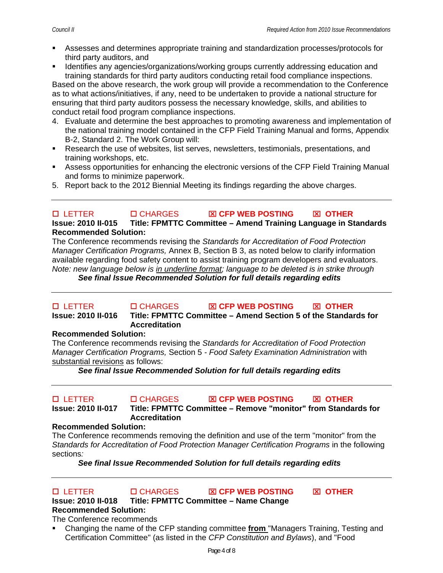- Assesses and determines appropriate training and standardization processes/protocols for third party auditors, and
- Identifies any agencies/organizations/working groups currently addressing education and training standards for third party auditors conducting retail food compliance inspections.

Based on the above research, the work group will provide a recommendation to the Conference as to what actions/initiatives, if any, need to be undertaken to provide a national structure for ensuring that third party auditors possess the necessary knowledge, skills, and abilities to conduct retail food program compliance inspections.

- 4. Evaluate and determine the best approaches to promoting awareness and implementation of the national training model contained in the CFP Field Training Manual and forms, Appendix B-2, Standard 2. The Work Group will:
- Research the use of websites, list serves, newsletters, testimonials, presentations, and training workshops, etc.
- Assess opportunities for enhancing the electronic versions of the CFP Field Training Manual and forms to minimize paperwork.
- 5. Report back to the 2012 Biennial Meeting its findings regarding the above charges.

### LETTER CHARGES ⌧ **CFP WEB POSTING** ⌧ **OTHER Issue: 2010 II-015 Title: FPMTTC Committee – Amend Training Language in Standards Recommended Solution:**

The Conference recommends revising the *Standards for Accreditation of Food Protection Manager Certification Programs,* Annex B, Section B 3, as noted below to clarify information available regarding food safety content to assist training program developers and evaluators. *Note: new language below is in underline format; language to be deleted is in strike through* 

*See final Issue Recommended Solution for full details regarding edits* 

## LETTER CHARGES ⌧ **CFP WEB POSTING** ⌧ **OTHER Issue: 2010 II-016 Title: FPMTTC Committee – Amend Section 5 of the Standards for Accreditation**

## **Recommended Solution:**

The Conference recommends revising the *Standards for Accreditation of Food Protection Manager Certification Programs,* Section 5 *- Food Safety Examination Administration* with substantial revisions as follows:

*See final Issue Recommended Solution for full details regarding edits* 

#### LETTER CHARGES ⌧ **CFP WEB POSTING** ⌧ **OTHER Issue: 2010 II-017 Title: FPMTTC Committee – Remove "monitor" from Standards for Accreditation**

## **Recommended Solution:**

The Conference recommends removing the definition and use of the term "monitor" from the Standards for Accreditation of Food Protection Manager Certification Programs in the following sections*:* 

*See final Issue Recommended Solution for full details regarding edits* 

## LETTER CHARGES ⌧ **CFP WEB POSTING** ⌧ **OTHER Issue: 2010 II-018 Title: FPMTTC Committee – Name Change Recommended Solution:**

The Conference recommends

 Changing the name of the CFP standing committee **from** "Managers Training, Testing and Certification Committee" (as listed in the *CFP Constitution and Bylaws*), and "Food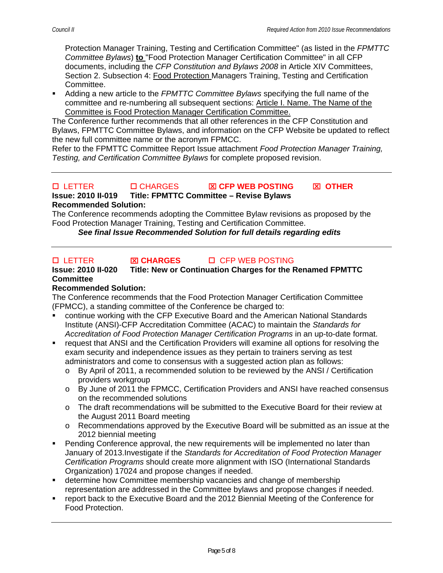Protection Manager Training, Testing and Certification Committee" (as listed in the *FPMTTC Committee Bylaws*) **to** "Food Protection Manager Certification Committee" in all CFP documents, including the *CFP Constitution and Bylaws 2008* in Article XIV Committees, Section 2. Subsection 4: Food Protection Managers Training, Testing and Certification Committee.

 Adding a new article to the *FPMTTC Committee Bylaws* specifying the full name of the committee and re-numbering all subsequent sections: Article I. Name. The Name of the Committee is Food Protection Manager Certification Committee.

The Conference further recommends that all other references in the CFP Constitution and Bylaws, FPMTTC Committee Bylaws, and information on the CFP Website be updated to reflect the new full committee name or the acronym FPMCC.

Refer to the FPMTTC Committee Report Issue attachment *Food Protection Manager Training, Testing, and Certification Committee Bylaws* for complete proposed revision.

#### LETTER CHARGES ⌧ **CFP WEB POSTING** ⌧ **OTHER Issue: 2010 II-019 Title: FPMTTC Committee – Revise Bylaws Recommended Solution:**

The Conference recommends adopting the Committee Bylaw revisions as proposed by the Food Protection Manager Training, Testing and Certification Committee.

*See final Issue Recommended Solution for full details regarding edits* 

## LETTER ⌧ **CHARGES** CFP WEB POSTING

## **Issue: 2010 II-020 Title: New or Continuation Charges for the Renamed FPMTTC Committee**

## **Recommended Solution:**

The Conference recommends that the Food Protection Manager Certification Committee (FPMCC), a standing committee of the Conference be charged to:

- continue working with the CFP Executive Board and the American National Standards Institute (ANSI)-CFP Accreditation Committee (ACAC) to maintain the *Standards for Accreditation of Food Protection Manager Certification Programs* in an up-to-date format.
- request that ANSI and the Certification Providers will examine all options for resolving the exam security and independence issues as they pertain to trainers serving as test administrators and come to consensus with a suggested action plan as follows:
	- o By April of 2011, a recommended solution to be reviewed by the ANSI / Certification providers workgroup
	- o By June of 2011 the FPMCC, Certification Providers and ANSI have reached consensus on the recommended solutions
	- o The draft recommendations will be submitted to the Executive Board for their review at the August 2011 Board meeting
	- o Recommendations approved by the Executive Board will be submitted as an issue at the 2012 biennial meeting
- Pending Conference approval, the new requirements will be implemented no later than January of 2013.Investigate if the *Standards for Accreditation of Food Protection Manager Certification Programs* should create more alignment with ISO (International Standards Organization) 17024 and propose changes if needed.
- determine how Committee membership vacancies and change of membership representation are addressed in the Committee bylaws and propose changes if needed.
- report back to the Executive Board and the 2012 Biennial Meeting of the Conference for Food Protection.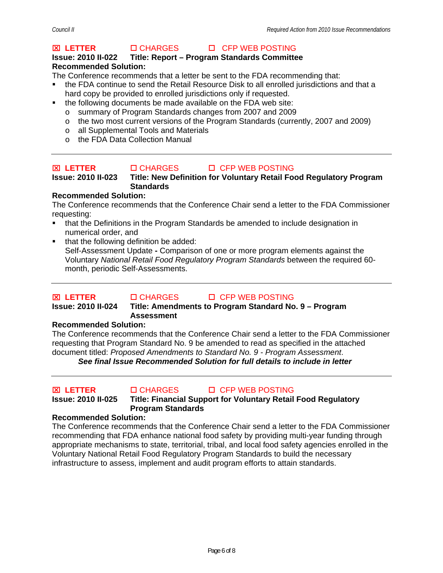## **<del><b>⊠ LETTER** CHARGES DI CFP WEB POSTING</del>

## **Issue: 2010 II-022 Title: Report – Program Standards Committee Recommended Solution:**

The Conference recommends that a letter be sent to the FDA recommending that:

- the FDA continue to send the Retail Resource Disk to all enrolled jurisdictions and that a hard copy be provided to enrolled jurisdictions only if requested.
- the following documents be made available on the FDA web site:
	- o summary of Program Standards changes from 2007 and 2009
	- o the two most current versions of the Program Standards (currently, 2007 and 2009)
	- o all Supplemental Tools and Materials
	- o the FDA Data Collection Manual

## ⌧ **LETTER** CHARGES CFP WEB POSTING

**Issue: 2010 II-023 Title: New Definition for Voluntary Retail Food Regulatory Program Standards** 

## **Recommended Solution:**

The Conference recommends that the Conference Chair send a letter to the FDA Commissioner requesting:

- that the Definitions in the Program Standards be amended to include designation in numerical order, and
- that the following definition be added: Self-Assessment Update **-** Comparison of one or more program elements against the Voluntary *National Retail Food Regulatory Program Standards* between the required 60 month, periodic Self-Assessments.

#### ⌧ **LETTER** CHARGES CFP WEB POSTING **Issue: 2010 II-024 Title: Amendments to Program Standard No. 9 – Program Assessment**

## **Recommended Solution:**

The Conference recommends that the Conference Chair send a letter to the FDA Commissioner requesting that Program Standard No. 9 be amended to read as specified in the attached document titled: *Proposed Amendments to Standard No. 9 - Program Assessment*.

*See final Issue Recommended Solution for full details to include in letter* 

## ⌧ **LETTER** CHARGES CFP WEB POSTING

**Issue: 2010 II-025 Title: Financial Support for Voluntary Retail Food Regulatory Program Standards** 

## **Recommended Solution:**

The Conference recommends that the Conference Chair send a letter to the FDA Commissioner recommending that FDA enhance national food safety by providing multi-year funding through appropriate mechanisms to state, territorial, tribal, and local food safety agencies enrolled in the Voluntary National Retail Food Regulatory Program Standards to build the necessary infrastructure to assess, implement and audit program efforts to attain standards.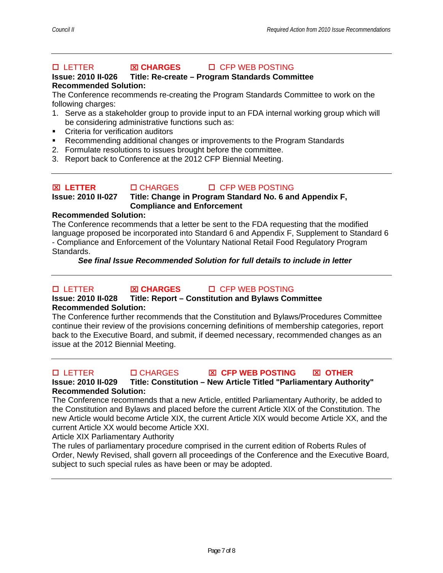## **Issue: 2010 II-026 Title: Re-create – Program Standards Committee Recommended Solution:**

The Conference recommends re-creating the Program Standards Committee to work on the following charges:

- 1. Serve as a stakeholder group to provide input to an FDA internal working group which will be considering administrative functions such as:
- **•** Criteria for verification auditors
- Recommending additional changes or improvements to the Program Standards
- 2. Formulate resolutions to issues brought before the committee.
- 3. Report back to Conference at the 2012 CFP Biennial Meeting.

## ⌧ **LETTER** CHARGES CFP WEB POSTING **Issue: 2010 II-027 Title: Change in Program Standard No. 6 and Appendix F, Compliance and Enforcement**

## **Recommended Solution:**

The Conference recommends that a letter be sent to the FDA requesting that the modified language proposed be incorporated into Standard 6 and Appendix F, Supplement to Standard 6 - Compliance and Enforcement of the Voluntary National Retail Food Regulatory Program Standards.

## *See final Issue Recommended Solution for full details to include in letter*

# LETTER ⌧ **CHARGES** CFP WEB POSTING

## **Issue: 2010 II-028 Title: Report – Constitution and Bylaws Committee Recommended Solution:**

The Conference further recommends that the Constitution and Bylaws/Procedures Committee continue their review of the provisions concerning definitions of membership categories, report back to the Executive Board, and submit, if deemed necessary, recommended changes as an issue at the 2012 Biennial Meeting.

## LETTER CHARGES ⌧ **CFP WEB POSTING** ⌧ **OTHER**

**Issue: 2010 II-029 Title: Constitution – New Article Titled "Parliamentary Authority" Recommended Solution:** 

The Conference recommends that a new Article, entitled Parliamentary Authority, be added to the Constitution and Bylaws and placed before the current Article XIX of the Constitution. The new Article would become Article XIX, the current Article XIX would become Article XX, and the current Article XX would become Article XXI.

Article XIX Parliamentary Authority

The rules of parliamentary procedure comprised in the current edition of Roberts Rules of Order, Newly Revised, shall govern all proceedings of the Conference and the Executive Board, subject to such special rules as have been or may be adopted.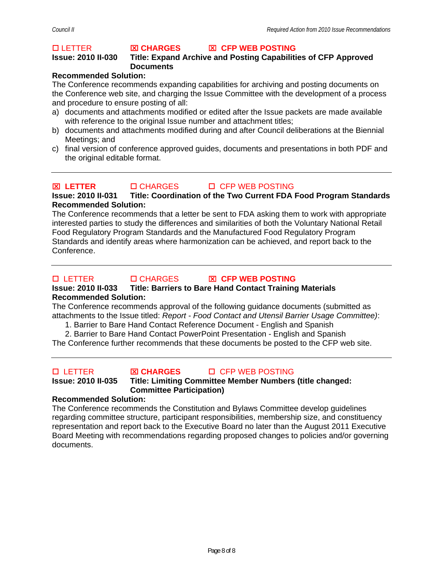## **Issue: 2010 II-030 Title: Expand Archive and Posting Capabilities of CFP Approved Documents**

## **Recommended Solution:**

The Conference recommends expanding capabilities for archiving and posting documents on the Conference web site, and charging the Issue Committee with the development of a process and procedure to ensure posting of all:

- a) documents and attachments modified or edited after the Issue packets are made available with reference to the original Issue number and attachment titles;
- b) documents and attachments modified during and after Council deliberations at the Biennial Meetings; and
- c) final version of conference approved guides, documents and presentations in both PDF and the original editable format.

## ⌧ **LETTER** CHARGES CFP WEB POSTING

## **Issue: 2010 II-031 Title: Coordination of the Two Current FDA Food Program Standards Recommended Solution:**

The Conference recommends that a letter be sent to FDA asking them to work with appropriate interested parties to study the differences and similarities of both the Voluntary National Retail Food Regulatory Program Standards and the Manufactured Food Regulatory Program Standards and identify areas where harmonization can be achieved, and report back to the Conference.

## LETTER CHARGES ⌧ **CFP WEB POSTING**

## **Issue: 2010 II-033 Title: Barriers to Bare Hand Contact Training Materials Recommended Solution:**

The Conference recommends approval of the following guidance documents (submitted as attachments to the Issue titled: *Report - Food Contact and Utensil Barrier Usage Committee)*:

1. Barrier to Bare Hand Contact Reference Document - English and Spanish

2. Barrier to Bare Hand Contact PowerPoint Presentation - English and Spanish The Conference further recommends that these documents be posted to the CFP web site.

## LETTER ⌧ **CHARGES** CFP WEB POSTING

## **Issue: 2010 II-035 Title: Limiting Committee Member Numbers (title changed: Committee Participation)**

## **Recommended Solution:**

The Conference recommends the Constitution and Bylaws Committee develop guidelines regarding committee structure, participant responsibilities, membership size, and constituency representation and report back to the Executive Board no later than the August 2011 Executive Board Meeting with recommendations regarding proposed changes to policies and/or governing documents.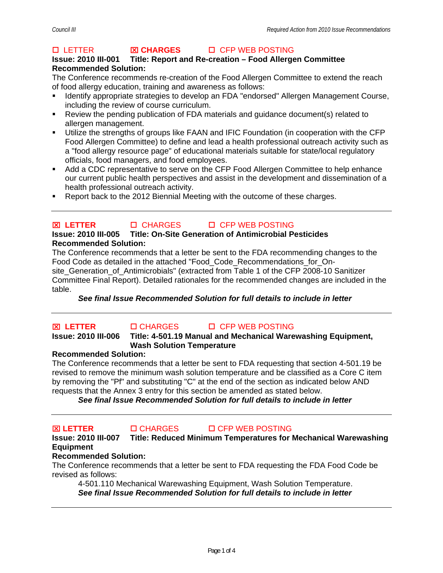## **Issue: 2010 III-001 Title: Report and Re-creation – Food Allergen Committee Recommended Solution:**

The Conference recommends re-creation of the Food Allergen Committee to extend the reach of food allergy education, training and awareness as follows:

- Identify appropriate strategies to develop an FDA "endorsed" Allergen Management Course, including the review of course curriculum.
- Review the pending publication of FDA materials and guidance document(s) related to allergen management.
- Utilize the strengths of groups like FAAN and IFIC Foundation (in cooperation with the CFP Food Allergen Committee) to define and lead a health professional outreach activity such as a "food allergy resource page" of educational materials suitable for state/local regulatory officials, food managers, and food employees.
- Add a CDC representative to serve on the CFP Food Allergen Committee to help enhance our current public health perspectives and assist in the development and dissemination of a health professional outreach activity.
- Report back to the 2012 Biennial Meeting with the outcome of these charges.

# **<del><b>⊠ LETTER** □ CHARGES □ CFP WEB POSTING</del>

## **Issue: 2010 III-005 Title: On-Site Generation of Antimicrobial Pesticides Recommended Solution:**

The Conference recommends that a letter be sent to the FDA recommending changes to the Food Code as detailed in the attached "Food\_Code\_Recommendations\_for\_Onsite Generation of Antimicrobials" (extracted from Table 1 of the CFP 2008-10 Sanitizer Committee Final Report). Detailed rationales for the recommended changes are included in the table.

*See final Issue Recommended Solution for full details to include in letter* 

#### ⌧ **LETTER** CHARGES CFP WEB POSTING **Title: 4-501.19 Manual and Mechanical Warewashing Equipment, Wash Solution Temperature**

## **Recommended Solution:**

The Conference recommends that a letter be sent to FDA requesting that section 4-501.19 be revised to remove the minimum wash solution temperature and be classified as a Core C item by removing the "Pf" and substituting "C" at the end of the section as indicated below AND requests that the Annex 3 entry for this section be amended as stated below.

*See final Issue Recommended Solution for full details to include in letter* 

## ⌧ **LETTER** CHARGES CFP WEB POSTING

**Issue: 2010 III-007 Title: Reduced Minimum Temperatures for Mechanical Warewashing Equipment** 

## **Recommended Solution:**

The Conference recommends that a letter be sent to FDA requesting the FDA Food Code be revised as follows:

4-501.110 Mechanical Warewashing Equipment, Wash Solution Temperature. *See final Issue Recommended Solution for full details to include in letter*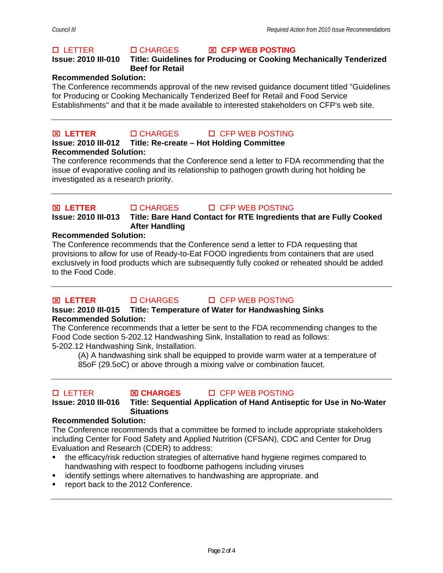## **Issue: 2010 III-010 Title: Guidelines for Producing or Cooking Mechanically Tenderized Beef for Retail**

## **Recommended Solution:**

The Conference recommends approval of the new revised guidance document titled "Guidelines for Producing or Cooking Mechanically Tenderized Beef for Retail and Food Service Establishments" and that it be made available to interested stakeholders on CFP's web site.

## ⌧ **LETTER** CHARGES CFP WEB POSTING

## **Issue: 2010 III-012 Title: Re-create – Hot Holding Committee**

**Recommended Solution:** 

The conference recommends that the Conference send a letter to FDA recommending that the issue of evaporative cooling and its relationship to pathogen growth during hot holding be investigated as a research priority.

⌧ **LETTER** CHARGES CFP WEB POSTING

**Issue: 2010 III-013 Title: Bare Hand Contact for RTE Ingredients that are Fully Cooked After Handling** 

## **Recommended Solution:**

The Conference recommends that the Conference send a letter to FDA requesting that provisions to allow for use of Ready-to-Eat FOOD ingredients from containers that are used exclusively in food products which are subsequently fully cooked or reheated should be added to the Food Code.

## ⌧ **LETTER** CHARGES CFP WEB POSTING

## **Issue: 2010 III-015 Title: Temperature of Water for Handwashing Sinks Recommended Solution:**

The Conference recommends that a letter be sent to the FDA recommending changes to the Food Code section 5-202.12 Handwashing Sink, Installation to read as follows: 5-202.12 Handwashing Sink, Installation.

(A) A handwashing sink shall be equipped to provide warm water at a temperature of 85oF (29.5oC) or above through a mixing valve or combination faucet.

LETTER ⌧ **CHARGES** CFP WEB POSTING

## **Issue: 2010 III-016 Title: Sequential Application of Hand Antiseptic for Use in No-Water Situations**

## **Recommended Solution:**

The Conference recommends that a committee be formed to include appropriate stakeholders including Center for Food Safety and Applied Nutrition (CFSAN), CDC and Center for Drug Evaluation and Research (CDER) to address:

- the efficacy/risk reduction strategies of alternative hand hygiene regimes compared to handwashing with respect to foodborne pathogens including viruses
- identify settings where alternatives to handwashing are appropriate. and
- report back to the 2012 Conference.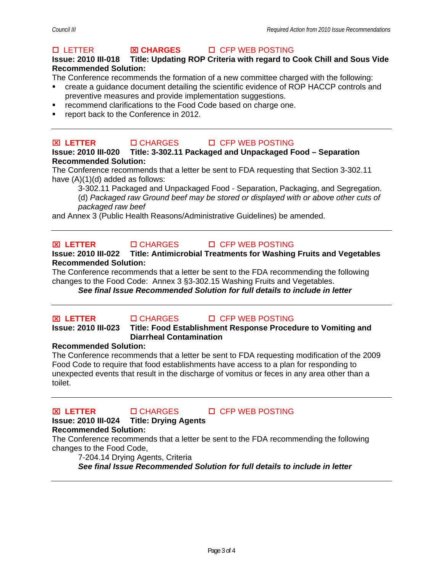## **Issue: 2010 III-018 Title: Updating ROP Criteria with regard to Cook Chill and Sous Vide Recommended Solution:**

The Conference recommends the formation of a new committee charged with the following:

- create a guidance document detailing the scientific evidence of ROP HACCP controls and preventive measures and provide implementation suggestions.
- **F** recommend clarifications to the Food Code based on charge one.
- **•** report back to the Conference in 2012.

## ⌧ **LETTER** CHARGES CFP WEB POSTING

## **Issue: 2010 III-020 Title: 3-302.11 Packaged and Unpackaged Food – Separation Recommended Solution:**

The Conference recommends that a letter be sent to FDA requesting that Section 3-302.11 have (A)(1)(d) added as follows:

3-302.11 Packaged and Unpackaged Food - Separation, Packaging, and Segregation. (d) *Packaged raw Ground beef may be stored or displayed with or above other cuts of packaged raw beef* 

and Annex 3 (Public Health Reasons/Administrative Guidelines) be amended.

## **<del><b>⊠ LETTER** CHARGES DI CFP WEB POSTING</del>

**Issue: 2010 III-022 Title: Antimicrobial Treatments for Washing Fruits and Vegetables Recommended Solution:** 

The Conference recommends that a letter be sent to the FDA recommending the following changes to the Food Code: Annex 3 §3-302.15 Washing Fruits and Vegetables.

*See final Issue Recommended Solution for full details to include in letter* 

⌧ **LETTER** CHARGES CFP WEB POSTING

## **Issue: 2010 III-023 Title: Food Establishment Response Procedure to Vomiting and Diarrheal Contamination**

## **Recommended Solution:**

The Conference recommends that a letter be sent to FDA requesting modification of the 2009 Food Code to require that food establishments have access to a plan for responding to unexpected events that result in the discharge of vomitus or feces in any area other than a toilet.

⌧ **LETTER** CHARGES CFP WEB POSTING



# **Issue: 2010 III-024 Title: Drying Agents**

## **Recommended Solution:**

The Conference recommends that a letter be sent to the FDA recommending the following changes to the Food Code,

7-204.14 Drying Agents, Criteria

*See final Issue Recommended Solution for full details to include in letter*